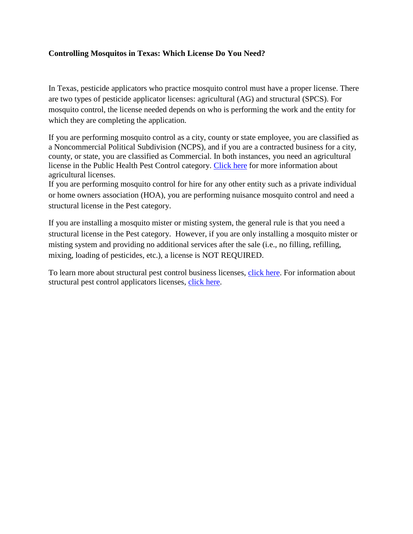## **Controlling Mosquitos in Texas: Which License Do You Need?**

In Texas, pesticide applicators who practice mosquito control must have a proper license. There are two types of pesticide applicator licenses: agricultural (AG) and structural (SPCS). For mosquito control, the license needed depends on who is performing the work and the entity for which they are completing the application.

If you are performing mosquito control as a city, county or state employee, you are classified as a Noncommercial Political Subdivision (NCPS), and if you are a contracted business for a city, county, or state, you are classified as Commercial. In both instances, you need an agricultural license in the Public Health Pest Control category. [Click here](http://www.texasagriculture.gov/RegulatoryPrograms/Pesticides/AgriculturalApplicators.aspx) for more information about agricultural licenses.

If you are performing mosquito control for hire for any other entity such as a private individual or home owners association (HOA), you are performing nuisance mosquito control and need a structural license in the Pest category.

If you are installing a mosquito mister or misting system, the general rule is that you need a structural license in the Pest category. However, if you are only installing a mosquito mister or misting system and providing no additional services after the sale (i.e., no filling, refilling, mixing, loading of pesticides, etc.), a license is NOT REQUIRED.

To learn more about structural pest control business licenses, [click here.](http://www.texasagriculture.gov/RegulatoryPrograms/Pesticides/StructuralPestControlService/StructuralPestControlBusiness.aspx) For information about structural pest control applicators licenses, [click here.](http://www.texasagriculture.gov/RegulatoryPrograms/Pesticides/StructuralPestControlService/StructuralPestControlLicensing/SPCSCertifiedApplicatorLicensing.aspx)